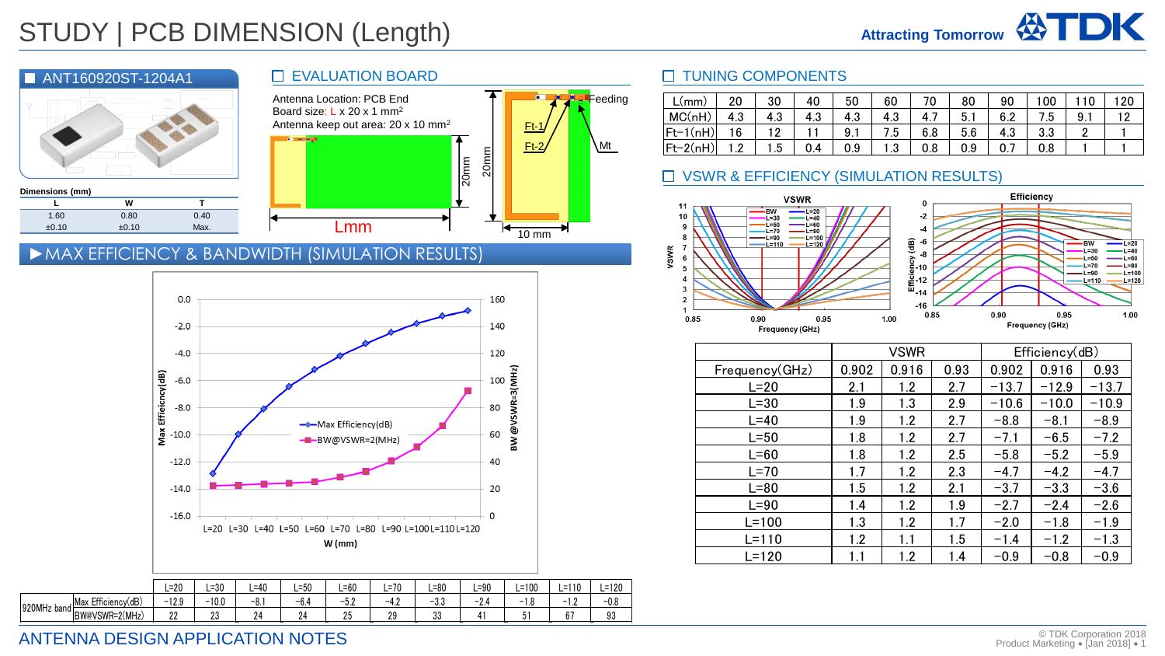

|             |                    |          |         |        |        | $W$ (mm) |        |        |        |         |           |        |
|-------------|--------------------|----------|---------|--------|--------|----------|--------|--------|--------|---------|-----------|--------|
|             |                    |          |         |        |        |          |        |        |        |         |           |        |
|             |                    | $L = 20$ | ∟=30    | L=40   | L=50   | ∟=60     | ∟=70   | –80    | L=90   | $L=100$ | $L = 110$ | L=120  |
| 920MHz band | Max Efficiency(dB) | $-12.9$  | $-10.0$ | $-8.1$ | $-6.4$ | $-5.2$   | $-4.2$ | $-3.3$ | $-2.4$ | $-1.8$  | 1.2<br>-  | $-0.8$ |
|             | BW@VSWR=2(MHz)     | 22       | 23      | 24     | 24     | 25       | 29     | 33     | 41     | 51      | 67        | 93     |
|             |                    |          |         |        |        |          |        |        |        |         |           |        |

#### **D** TUNING COMPONENTS

| L(mm)        | 20           | 30  | 40  | 50  | 60           | 70  | 80  | 90  | 00  |     | 20 |
|--------------|--------------|-----|-----|-----|--------------|-----|-----|-----|-----|-----|----|
| MC(nH)       | 4.3          | 4.3 | 4.3 | 4.3 | 4.3          | 4.7 | 5.1 | 6.2 | 7.5 | 9.1 | 12 |
| $ Ft-1(nH) $ | 16           | 12  |     | 9.1 | 7.5          | 6.8 | 5.6 | 4.3 | 3.3 |     |    |
| $ Ft-2(nH) $ | י 1<br>. . 4 | 1.5 | 0.4 | 0.9 | ני 1<br>ن. ا | 0.8 | 0.9 | 0.7 | 0.8 |     |    |

### □ VSWR & EFFICIENCY (SIMULATION RESULTS)



|                       |       | <b>VSWR</b> |      |         | Efficiency(dB) |         |
|-----------------------|-------|-------------|------|---------|----------------|---------|
| <u>Frequency(GHz)</u> | 0.902 | 0.916       | 0.93 | 0.902   | 0.916          | 0.93    |
| $L=20$                | 2.1   | 1.2         | 2.7  | $-13.7$ | $-12.9$        | $-13.7$ |
| $L = 30$              | 1.9   | 1.3         | 2.9  | $-10.6$ | $-10.0$        | $-10.9$ |
| $L = 40$              | 1.9   | 1.2         | 2.7  | $-8.8$  | $-8.1$         | $-8.9$  |
| $L = 50$              | 1.8   | 1.2         | 2.7  | $-7.1$  | $-6.5$         | $-7.2$  |
| $L=60$                | 1.8   | 1.2         | 2.5  | $-5.8$  | $-5.2$         | $-5.9$  |
| $L=70$                | 1.7   | 1.2         | 2.3  | $-4.7$  | $-4.2$         | $-4.7$  |
| $L = 80$              | 1.5   | 1.2         | 2.1  | $-3.7$  | $-3.3$         | $-3.6$  |
| $L=90$                | 1.4   | 1.2         | 1.9  | $-2.7$  | $-2.4$         | $-2.6$  |
| $L = 100$             | 1.3   | 1.2         | 1.7  | $-2.0$  | $-1.8$         | $-1.9$  |
| $L = 110$             | 1.2   | 1.1         | 1.5  | $-1.4$  | $-1.2$         | $-1.3$  |
| $L = 120$             | 1.1   | 1.2         | 1.4  | $-0.9$  | $-0.8$         | $-0.9$  |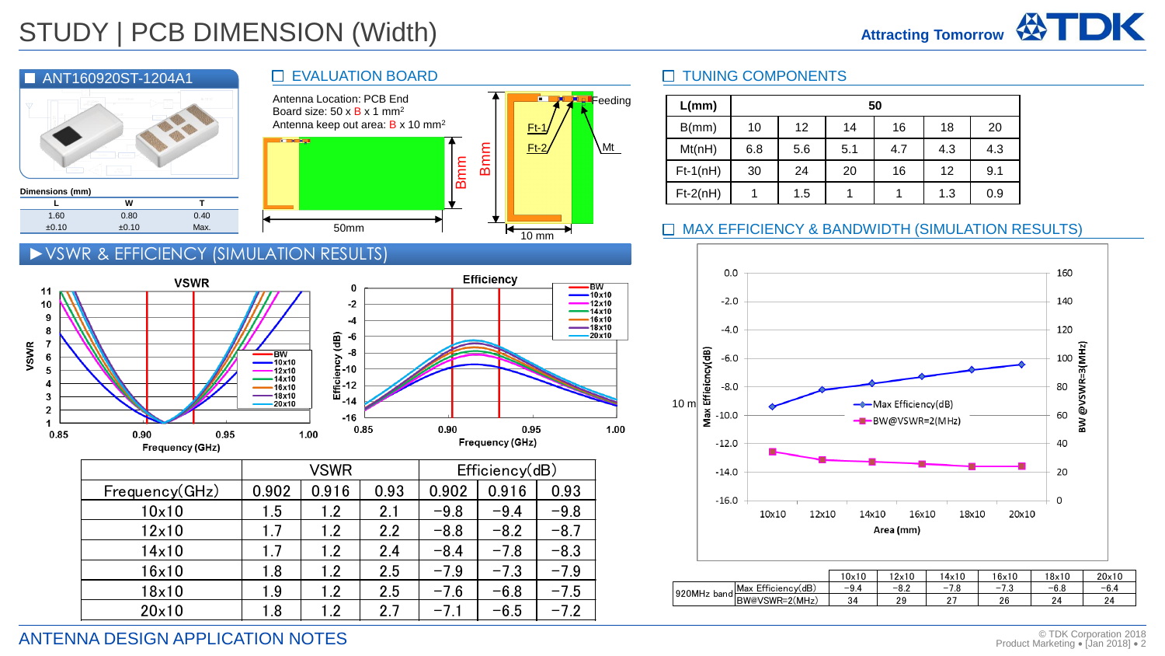

# ►VSWR & EFFICIENCY (SIMULATION RESULTS)



|                | VSWR  |       |      |        | Efficiency(dB) |        |
|----------------|-------|-------|------|--------|----------------|--------|
| Frequency(GHz) | 0.902 | 0.916 | 0.93 | 0.902  | 0.916          | 0.93   |
| 10x10          | 1.5   | 1.2   | 2.1  | $-9.8$ | $-9.4$         | $-9.8$ |
| 12x10          | 1.7   | 1.2   | 2.2  | $-8.8$ | $-8.2$         | $-8.7$ |
| 14x10          | 1.7   | 1.2   | 2.4  | $-8.4$ | $-7.8$         | $-8.3$ |
| 16x10          | 1.8   | 1.2   | 2.5  | $-7.9$ | $-7.3$         | $-7.9$ |
| 18x10          | 1.9   | 1.2   | 2.5  | $-7.6$ | $-6.8$         | $-7.5$ |
| 20×10          | 1.8   | 1.2   | 2.7  | $-7.1$ | $-6.5$         | $-7.2$ |



| L(mm)      |     | 50  |     |     |     |     |  |  |  |  |  |
|------------|-----|-----|-----|-----|-----|-----|--|--|--|--|--|
| B(mm)      | 10  | 12  | 14  | 16  | 18  | 20  |  |  |  |  |  |
| Mt(nH)     | 6.8 | 5.6 | 5.1 | 4.7 | 4.3 | 4.3 |  |  |  |  |  |
| $Ft-1(nH)$ | 30  | 24  | 20  | 16  | 12  | 9.1 |  |  |  |  |  |
| $Ft-2(nH)$ |     | 1.5 |     |     | 1.3 | 0.9 |  |  |  |  |  |

## MAX EFFICIENCY & BANDWIDTH (SIMULATION RESULTS)



|        |                       | 10x10 | 2x10   | 14x10                             | 16×10  | 18x10   | 20×10   |
|--------|-----------------------|-------|--------|-----------------------------------|--------|---------|---------|
| 920MHz | Efficiencv(dB)<br>Max | $-94$ | $-8.2$ | $\overline{\phantom{a}}$<br>-<br> | -<br>- | $-6.8$  | $-6.4$  |
| bandh  | BW@VSWR=2(MHz)        | 34    | 29     | -                                 | 26     | 24<br>- | 24<br>← |

ANTENNA DESIGN APPLICATION NOTES